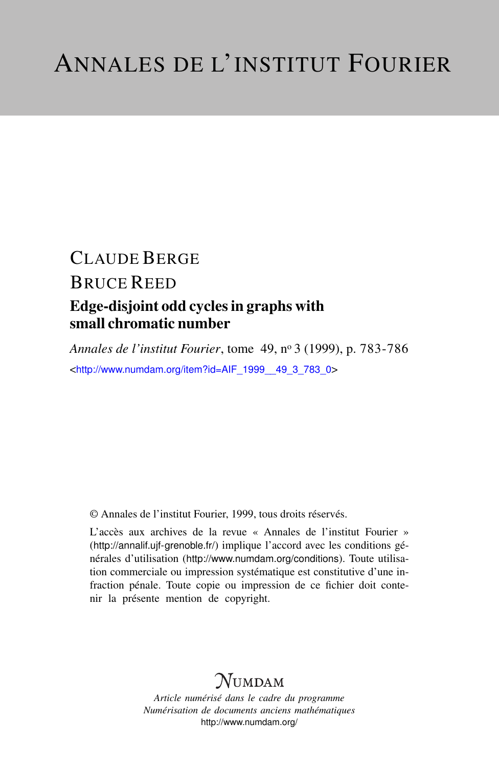## CLAUDE BERGE BRUCE REED Edge-disjoint odd cycles in graphs with small chromatic number

*Annales de l'institut Fourier*, tome 49, n<sup>o</sup> 3 (1999), p. 783-786 <[http://www.numdam.org/item?id=AIF\\_1999\\_\\_49\\_3\\_783\\_0](http://www.numdam.org/item?id=AIF_1999__49_3_783_0)>

© Annales de l'institut Fourier, 1999, tous droits réservés.

L'accès aux archives de la revue « Annales de l'institut Fourier » (<http://annalif.ujf-grenoble.fr/>) implique l'accord avec les conditions générales d'utilisation (<http://www.numdam.org/conditions>). Toute utilisation commerciale ou impression systématique est constitutive d'une infraction pénale. Toute copie ou impression de ce fichier doit contenir la présente mention de copyright.

# **NUMDAM**

*Article numérisé dans le cadre du programme Numérisation de documents anciens mathématiques* <http://www.numdam.org/>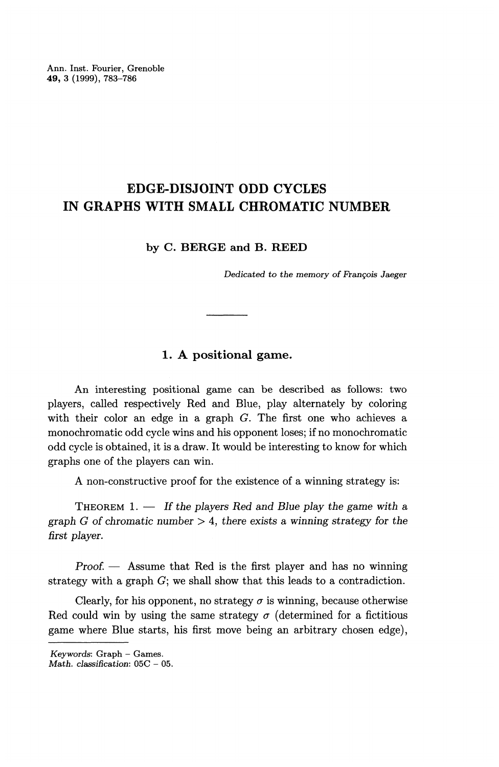Ann. Inst. Fourier, Grenoble **49,** 3 (1999), 783-786

## **EDGE-DISJOINT ODD CYCLES IN GRAPHS WITH SMALL CHROMATIC NUMBER**

**by C. BERGE and B. REED**

*Dedicated to the memory of Francois Jaeger*

### **1. A positional game.**

An interesting positional game can be described as follows: two players, called respectively Red and Blue, play alternately by coloring with their color an edge in a graph *G.* The first one who achieves a monochromatic odd cycle wins and his opponent loses; if no monochromatic odd cycle is obtained, it is a draw. It would be interesting to know for which graphs one of the players can win.

A non-constructive proof for the existence of a winning strategy is:

THEOREM 1. — *If the players Red and Blue play the game with a graph G of chromatic number >* 4, there exists a *winning strategy for the first player.*

*Proof. —* Assume that Red is the first player and has no winning strategy with a graph G; we shall show that this leads to a contradiction.

Clearly, for his opponent, no strategy  $\sigma$  is winning, because otherwise Red could win by using the same strategy  $\sigma$  (determined for a fictitious game where Blue starts, his first move being an arbitrary chosen edge),

Keywords: Graph - Games.

*Math. classification:* 05C - 05.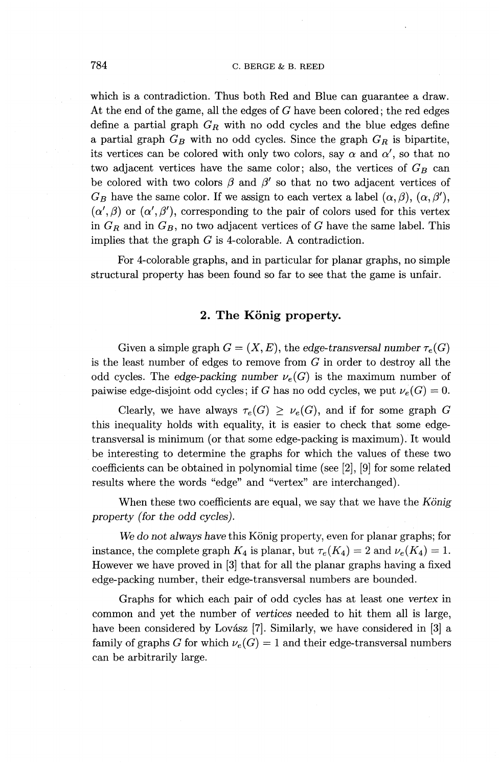which is a contradiction. Thus both Red and Blue can guarantee a draw. At the end of the game, all the edges of *G* have been colored; the red edges define a partial graph *GR* with no odd cycles and the blue edges define a partial graph  $G_B$  with no odd cycles. Since the graph  $G_R$  is bipartite, its vertices can be colored with only two colors, say  $\alpha$  and  $\alpha'$ , so that no two adjacent vertices have the same color; also, the vertices of  $G_B$  can be colored with two colors  $\beta$  and  $\beta'$  so that no two adjacent vertices of  $G_B$  have the same color. If we assign to each vertex a label  $(\alpha,\beta), (\alpha,\beta')$ ,  $(\alpha', \beta)$  or  $(\alpha', \beta')$ , corresponding to the pair of colors used for this vertex in  $G_R$  and in  $G_B$ , no two adjacent vertices of  $G$  have the same label. This implies that the graph  $G$  is 4-colorable. A contradiction.

For 4-colorable graphs, and in particular for planar graphs, no simple structural property has been found so far to see that the game is unfair.

### 2. The König property.

Given a simple graph  $G = (X, E)$ , the edge-transversal number  $\tau_e(G)$ is the least number of edges to remove from  $G$  in order to destroy all the odd cycles. The edge-packing number  $\nu_e(G)$  is the maximum number of paiwise edge-disjoint odd cycles; if G has no odd cycles, we put  $\nu_e(G) = 0$ .

Clearly, we have always  $\tau_e(G) \geq \nu_e(G)$ , and if for some graph G this inequality holds with equality, it is easier to check that some edgetransversal is minimum (or that some edge-packing is maximum). It would be interesting to determine the graphs for which the values of these two coefficients can be obtained in polynomial time (see [2], [9] for some related results where the words "edge" and "vertex" are interchanged).

When these two coefficients are equal, we say that we have the *Konig property (for the odd cycles).*

We do not always have this König property, even for planar graphs; for instance, the complete graph  $K_4$  is planar, but  $\tau_e(K_4) = 2$  and  $\nu_e(K_4) = 1$ . However we have proved in [3] that for all the planar graphs having a fixed edge-packing number, their edge-transversal numbers are bounded.

Graphs for which each pair of odd cycles has at least one *vertex* in common and yet the number of vertices needed to hit them all is large, have been considered by Lovász [7]. Similarly, we have considered in [3] a family of graphs G for which  $\nu_e(G) = 1$  and their edge-transversal numbers can be arbitrarily large.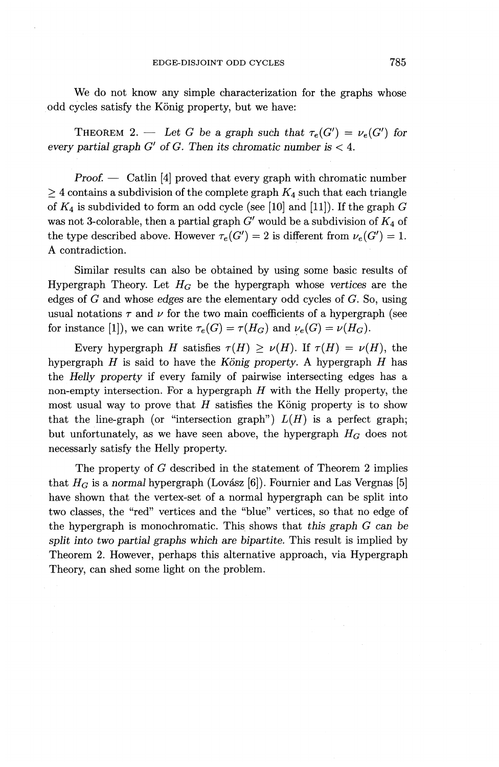We do not know any simple characterization for the graphs whose odd cycles satisfy the König property, but we have:

THEOREM 2. — Let G be a graph such that  $\tau_e(G') = \nu_e(G')$  for *every partial graph G' of G. Then its chromatic number is <* 4.

*Proof. —* Catlin [4] proved that every graph with chromatic number  $\geq$  4 contains a subdivision of the complete graph  $K_4$  such that each triangle of *K^* is subdivided to form an odd cycle (see [10] and [11]). If the graph *G* was not 3-colorable, then a partial graph *G'* would be a subdivision of *K^* of the type described above. However  $\tau_e(G') = 2$  is different from  $\nu_e(G') = 1$ . A contradiction.

Similar results can also be obtained by using some basic results of Hypergraph Theory. Let  $H_G$  be the hypergraph whose vertices are the edges of *G* and whose *edges* are the elementary odd cycles of *G.* So, using usual notations  $\tau$  and  $\nu$  for the two main coefficients of a hypergraph (see for instance [1]), we can write  $\tau_e(G) = \tau(H_G)$  and  $\nu_e(G) = \nu(H_G)$ .

Every hypergraph *H* satisfies  $\tau(H) \geq \nu(H)$ . If  $\tau(H) = \nu(H)$ , the hypergraph *H* is said to have the *Konig property.* A hypergraph *H* has the *Helly property* if every family of pairwise intersecting edges has a non-empty intersection. For a hypergraph *H* with the Helly property, the most usual way to prove that *H* satisfies the Konig property is to show that the line-graph (or "intersection graph")  $L(H)$  is a perfect graph; but unfortunately, as we have seen above, the hypergraph  $H_G$  does not necessarly satisfy the Helly property.

The property of *G* described in the statement of Theorem 2 implies that  $H_G$  is a *normal* hypergraph (Lovász [6]). Fournier and Las Vergnas [5] have shown that the vertex-set of a normal hypergraph can be split into two classes, the "red" vertices and the "blue" vertices, so that no edge of the hypergraph is monochromatic. This shows that this *graph G can be split into two partial graphs which are bipartite.* This result is implied by Theorem 2. However, perhaps this alternative approach, via Hypergraph Theory, can shed some light on the problem.